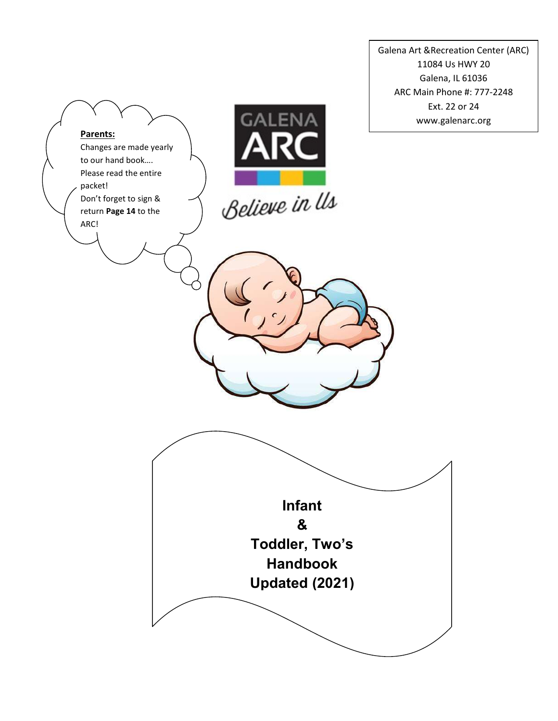Galena Art &Recreation Center (ARC) 11084 Us HWY 20 Galena, IL 61036 ARC Main Phone #: 777-2248 Ext. 22 or 24 www.galenarc.org

# **GALENA** Parents: Changes are made yearly to our hand book…. Please read the entire packet! Believe in Us Don't forget to sign & return Page 14 to the ARC! Infant & Toddler, Two's Handbook Updated (2021)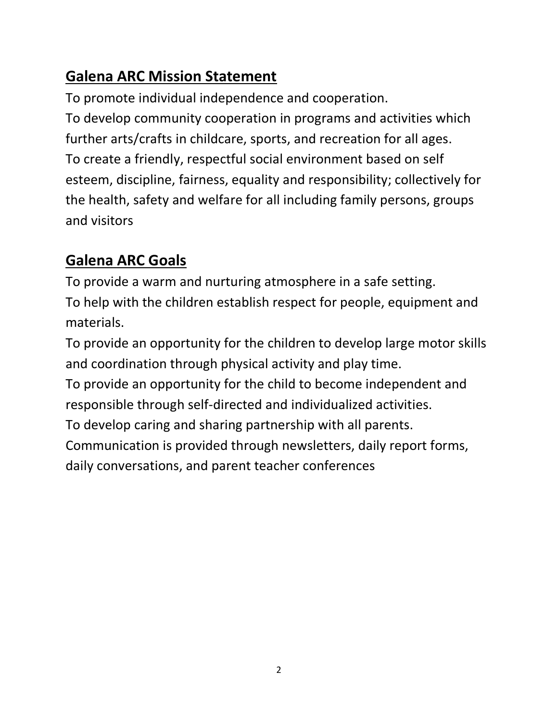# Galena ARC Mission Statement

To promote individual independence and cooperation. To develop community cooperation in programs and activities which further arts/crafts in childcare, sports, and recreation for all ages. To create a friendly, respectful social environment based on self esteem, discipline, fairness, equality and responsibility; collectively for the health, safety and welfare for all including family persons, groups and visitors

# Galena ARC Goals

To provide a warm and nurturing atmosphere in a safe setting. To help with the children establish respect for people, equipment and materials.

To provide an opportunity for the children to develop large motor skills and coordination through physical activity and play time.

To provide an opportunity for the child to become independent and responsible through self-directed and individualized activities.

To develop caring and sharing partnership with all parents.

Communication is provided through newsletters, daily report forms, daily conversations, and parent teacher conferences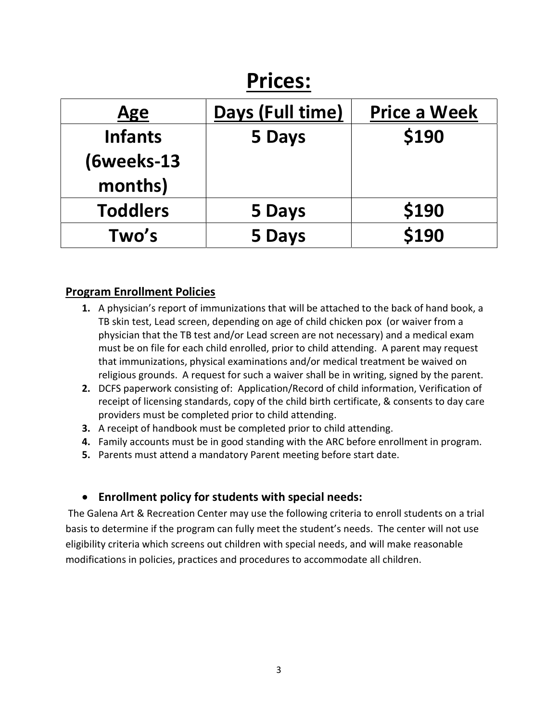# Prices:

| Age             | Days (Full time) | <b>Price a Week</b> |
|-----------------|------------------|---------------------|
| <b>Infants</b>  | 5 Days           | \$190               |
| (6weeks-13      |                  |                     |
| months)         |                  |                     |
| <b>Toddlers</b> | 5 Days           | \$190               |
| Two's           | 5 Days           | \$190               |

# Program Enrollment Policies

- 1. A physician's report of immunizations that will be attached to the back of hand book, a TB skin test, Lead screen, depending on age of child chicken pox (or waiver from a physician that the TB test and/or Lead screen are not necessary) and a medical exam must be on file for each child enrolled, prior to child attending. A parent may request that immunizations, physical examinations and/or medical treatment be waived on religious grounds. A request for such a waiver shall be in writing, signed by the parent.
- 2. DCFS paperwork consisting of: Application/Record of child information, Verification of receipt of licensing standards, copy of the child birth certificate, & consents to day care providers must be completed prior to child attending.
- 3. A receipt of handbook must be completed prior to child attending.
- 4. Family accounts must be in good standing with the ARC before enrollment in program.
- 5. Parents must attend a mandatory Parent meeting before start date.

# Enrollment policy for students with special needs:

The Galena Art & Recreation Center may use the following criteria to enroll students on a trial basis to determine if the program can fully meet the student's needs. The center will not use eligibility criteria which screens out children with special needs, and will make reasonable modifications in policies, practices and procedures to accommodate all children.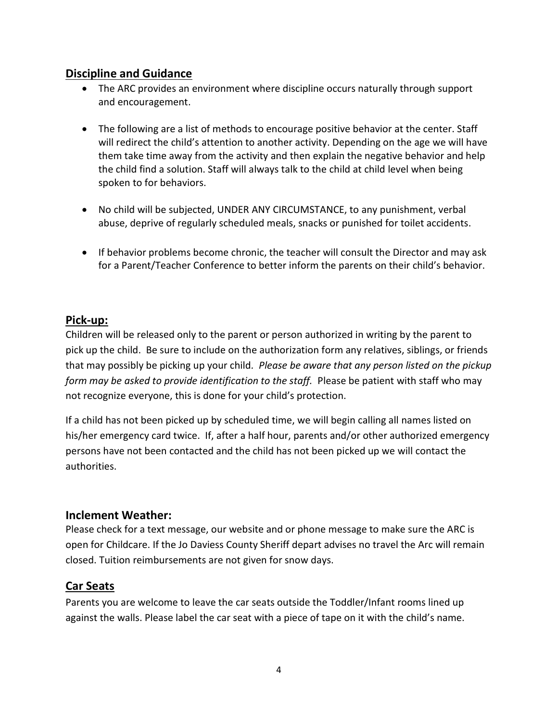# Discipline and Guidance

- The ARC provides an environment where discipline occurs naturally through support and encouragement.
- The following are a list of methods to encourage positive behavior at the center. Staff will redirect the child's attention to another activity. Depending on the age we will have them take time away from the activity and then explain the negative behavior and help the child find a solution. Staff will always talk to the child at child level when being spoken to for behaviors.
- No child will be subjected, UNDER ANY CIRCUMSTANCE, to any punishment, verbal abuse, deprive of regularly scheduled meals, snacks or punished for toilet accidents.
- If behavior problems become chronic, the teacher will consult the Director and may ask for a Parent/Teacher Conference to better inform the parents on their child's behavior.

# Pick-up:

Children will be released only to the parent or person authorized in writing by the parent to pick up the child. Be sure to include on the authorization form any relatives, siblings, or friends that may possibly be picking up your child. Please be aware that any person listed on the pickup form may be asked to provide identification to the staff. Please be patient with staff who may not recognize everyone, this is done for your child's protection.

If a child has not been picked up by scheduled time, we will begin calling all names listed on his/her emergency card twice. If, after a half hour, parents and/or other authorized emergency persons have not been contacted and the child has not been picked up we will contact the authorities.

# Inclement Weather:

Please check for a text message, our website and or phone message to make sure the ARC is open for Childcare. If the Jo Daviess County Sheriff depart advises no travel the Arc will remain closed. Tuition reimbursements are not given for snow days.

# Car Seats

Parents you are welcome to leave the car seats outside the Toddler/Infant rooms lined up against the walls. Please label the car seat with a piece of tape on it with the child's name.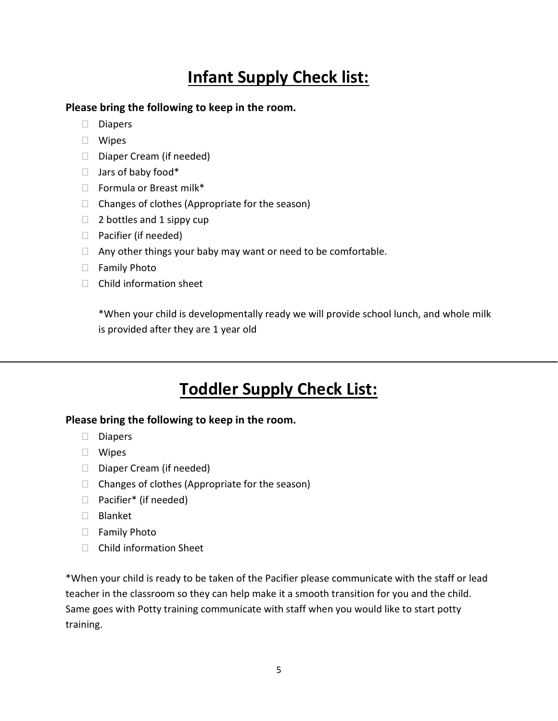# Infant Supply Check list:

Please bring the following to keep in the room.

- Diapers
- Wipes
- $\Box$  Diaper Cream (if needed)
- $\Box$  Jars of baby food\*
- $\Box$  Formula or Breast milk\*
- $\Box$  Changes of clothes (Appropriate for the season)
- $\Box$  2 bottles and 1 sippy cup
- □ Pacifier (if needed)
- $\Box$  Any other things your baby may want or need to be comfortable.
- □ Family Photo
- $\Box$  Child information sheet

\*When your child is developmentally ready we will provide school lunch, and whole milk is provided after they are 1 year old

# Toddler Supply Check List:

#### Please bring the following to keep in the room.

- $\Box$  Diapers
- Wipes
- $\Box$  Diaper Cream (if needed)
- $\Box$  Changes of clothes (Appropriate for the season)
- □ Pacifier<sup>\*</sup> (if needed)
- Blanket
- □ Family Photo
- $\Box$  Child information Sheet

\*When your child is ready to be taken of the Pacifier please communicate with the staff or lead teacher in the classroom so they can help make it a smooth transition for you and the child. Same goes with Potty training communicate with staff when you would like to start potty training.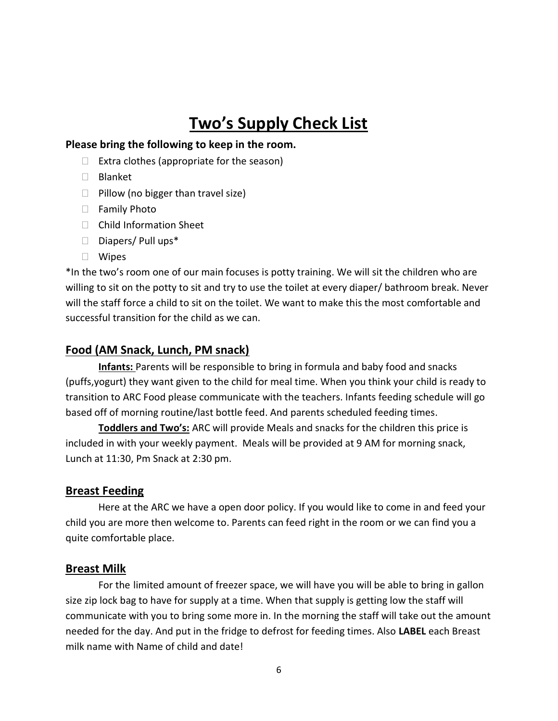# Two's Supply Check List

#### Please bring the following to keep in the room.

- $\Box$  Extra clothes (appropriate for the season)
- Blanket
- $\Box$  Pillow (no bigger than travel size)
- □ Family Photo
- □ Child Information Sheet
- $\square$  Diapers/ Pull ups\*
- Wipes

\*In the two's room one of our main focuses is potty training. We will sit the children who are willing to sit on the potty to sit and try to use the toilet at every diaper/ bathroom break. Never will the staff force a child to sit on the toilet. We want to make this the most comfortable and successful transition for the child as we can.

#### Food (AM Snack, Lunch, PM snack)

Infants: Parents will be responsible to bring in formula and baby food and snacks (puffs,yogurt) they want given to the child for meal time. When you think your child is ready to transition to ARC Food please communicate with the teachers. Infants feeding schedule will go based off of morning routine/last bottle feed. And parents scheduled feeding times.

Toddlers and Two's: ARC will provide Meals and snacks for the children this price is included in with your weekly payment. Meals will be provided at 9 AM for morning snack, Lunch at 11:30, Pm Snack at 2:30 pm.

#### Breast Feeding

Here at the ARC we have a open door policy. If you would like to come in and feed your child you are more then welcome to. Parents can feed right in the room or we can find you a quite comfortable place.

#### Breast Milk

For the limited amount of freezer space, we will have you will be able to bring in gallon size zip lock bag to have for supply at a time. When that supply is getting low the staff will communicate with you to bring some more in. In the morning the staff will take out the amount needed for the day. And put in the fridge to defrost for feeding times. Also LABEL each Breast milk name with Name of child and date!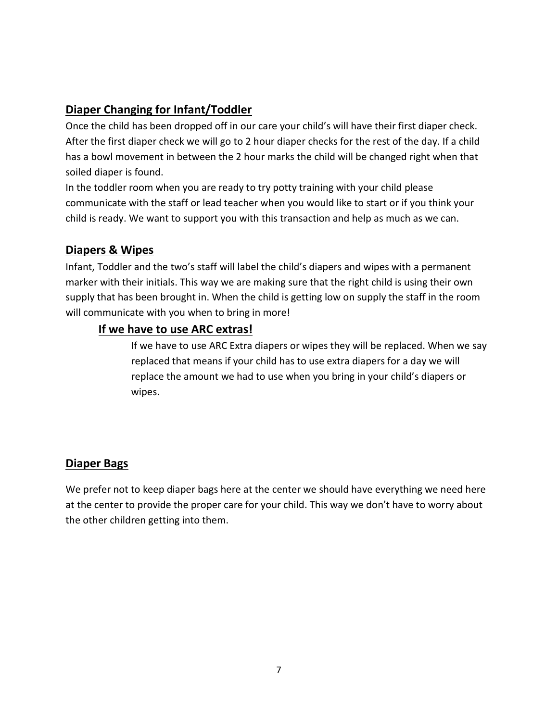# Diaper Changing for Infant/Toddler

Once the child has been dropped off in our care your child's will have their first diaper check. After the first diaper check we will go to 2 hour diaper checks for the rest of the day. If a child has a bowl movement in between the 2 hour marks the child will be changed right when that soiled diaper is found.

In the toddler room when you are ready to try potty training with your child please communicate with the staff or lead teacher when you would like to start or if you think your child is ready. We want to support you with this transaction and help as much as we can.

# Diapers & Wipes

Infant, Toddler and the two's staff will label the child's diapers and wipes with a permanent marker with their initials. This way we are making sure that the right child is using their own supply that has been brought in. When the child is getting low on supply the staff in the room will communicate with you when to bring in more!

# If we have to use ARC extras!

If we have to use ARC Extra diapers or wipes they will be replaced. When we say replaced that means if your child has to use extra diapers for a day we will replace the amount we had to use when you bring in your child's diapers or wipes.

# Diaper Bags

We prefer not to keep diaper bags here at the center we should have everything we need here at the center to provide the proper care for your child. This way we don't have to worry about the other children getting into them.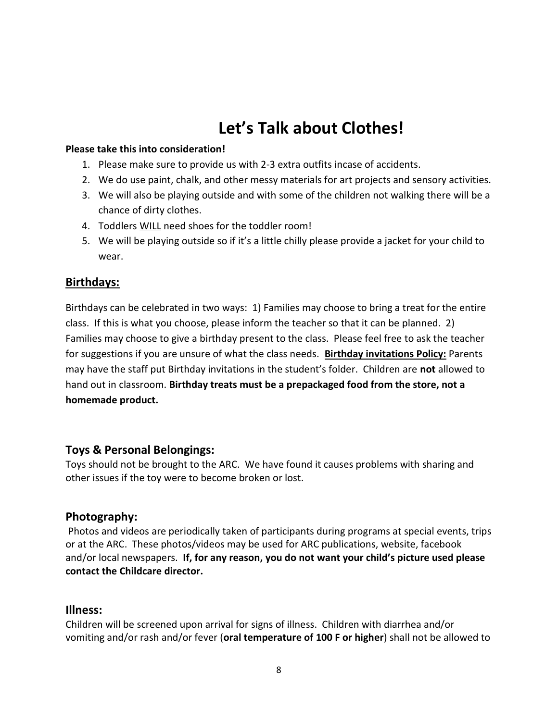# Let's Talk about Clothes!

#### Please take this into consideration!

- 1. Please make sure to provide us with 2-3 extra outfits incase of accidents.
- 2. We do use paint, chalk, and other messy materials for art projects and sensory activities.
- 3. We will also be playing outside and with some of the children not walking there will be a chance of dirty clothes.
- 4. Toddlers WILL need shoes for the toddler room!
- 5. We will be playing outside so if it's a little chilly please provide a jacket for your child to wear.

#### Birthdays:

Birthdays can be celebrated in two ways: 1) Families may choose to bring a treat for the entire class. If this is what you choose, please inform the teacher so that it can be planned. 2) Families may choose to give a birthday present to the class. Please feel free to ask the teacher for suggestions if you are unsure of what the class needs. Birthday invitations Policy: Parents may have the staff put Birthday invitations in the student's folder. Children are not allowed to hand out in classroom. Birthday treats must be a prepackaged food from the store, not a homemade product.

#### Toys & Personal Belongings:

Toys should not be brought to the ARC. We have found it causes problems with sharing and other issues if the toy were to become broken or lost.

#### Photography:

Photos and videos are periodically taken of participants during programs at special events, trips or at the ARC. These photos/videos may be used for ARC publications, website, facebook and/or local newspapers. If, for any reason, you do not want your child's picture used please contact the Childcare director.

#### Illness:

Children will be screened upon arrival for signs of illness. Children with diarrhea and/or vomiting and/or rash and/or fever (oral temperature of 100 F or higher) shall not be allowed to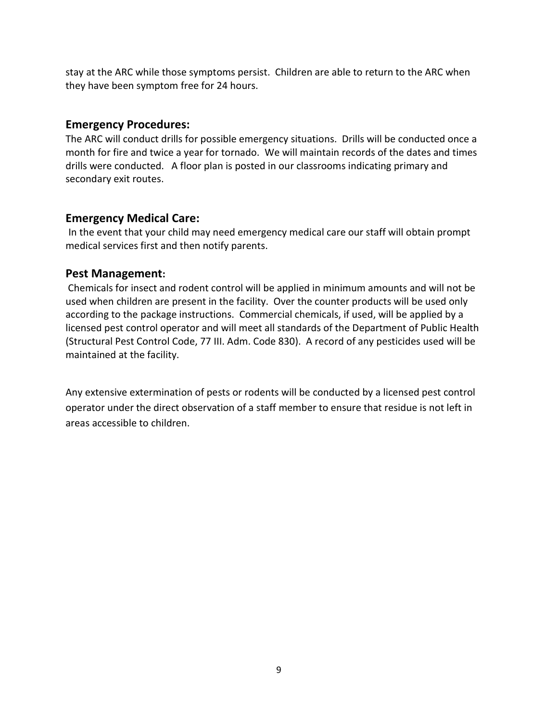stay at the ARC while those symptoms persist. Children are able to return to the ARC when they have been symptom free for 24 hours.

### Emergency Procedures:

The ARC will conduct drills for possible emergency situations. Drills will be conducted once a month for fire and twice a year for tornado. We will maintain records of the dates and times drills were conducted. A floor plan is posted in our classrooms indicating primary and secondary exit routes.

# Emergency Medical Care:

In the event that your child may need emergency medical care our staff will obtain prompt medical services first and then notify parents.

# Pest Management:

 Chemicals for insect and rodent control will be applied in minimum amounts and will not be used when children are present in the facility. Over the counter products will be used only according to the package instructions. Commercial chemicals, if used, will be applied by a licensed pest control operator and will meet all standards of the Department of Public Health (Structural Pest Control Code, 77 III. Adm. Code 830). A record of any pesticides used will be maintained at the facility.

Any extensive extermination of pests or rodents will be conducted by a licensed pest control operator under the direct observation of a staff member to ensure that residue is not left in areas accessible to children.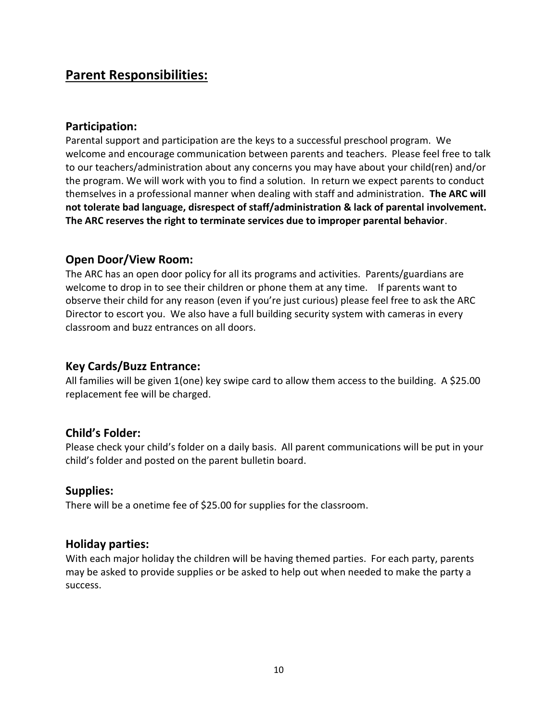# Parent Responsibilities:

# Participation:

Parental support and participation are the keys to a successful preschool program. We welcome and encourage communication between parents and teachers. Please feel free to talk to our teachers/administration about any concerns you may have about your child(ren) and/or the program. We will work with you to find a solution. In return we expect parents to conduct themselves in a professional manner when dealing with staff and administration. The ARC will not tolerate bad language, disrespect of staff/administration & lack of parental involvement. The ARC reserves the right to terminate services due to improper parental behavior.

# Open Door/View Room:

The ARC has an open door policy for all its programs and activities. Parents/guardians are welcome to drop in to see their children or phone them at any time. If parents want to observe their child for any reason (even if you're just curious) please feel free to ask the ARC Director to escort you. We also have a full building security system with cameras in every classroom and buzz entrances on all doors.

# Key Cards/Buzz Entrance:

All families will be given 1(one) key swipe card to allow them access to the building. A \$25.00 replacement fee will be charged.

# Child's Folder:

Please check your child's folder on a daily basis. All parent communications will be put in your child's folder and posted on the parent bulletin board.

# Supplies:

There will be a onetime fee of \$25.00 for supplies for the classroom.

# Holiday parties:

With each major holiday the children will be having themed parties. For each party, parents may be asked to provide supplies or be asked to help out when needed to make the party a success.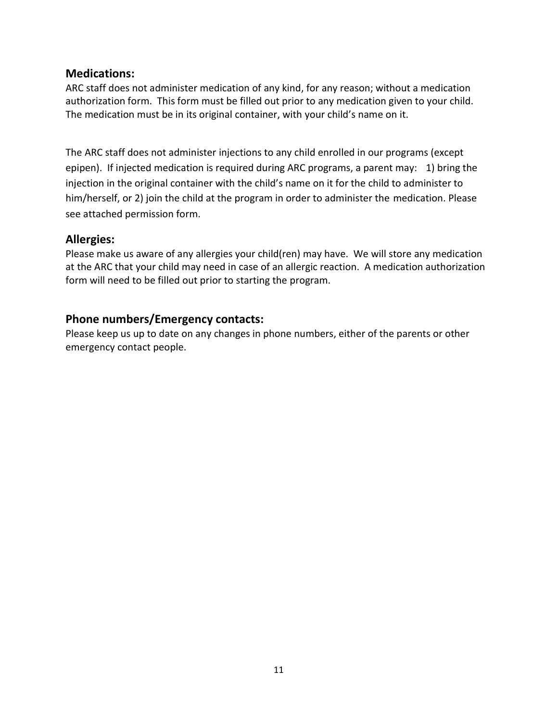### Medications:

ARC staff does not administer medication of any kind, for any reason; without a medication authorization form. This form must be filled out prior to any medication given to your child. The medication must be in its original container, with your child's name on it.

The ARC staff does not administer injections to any child enrolled in our programs (except epipen). If injected medication is required during ARC programs, a parent may: 1) bring the injection in the original container with the child's name on it for the child to administer to him/herself, or 2) join the child at the program in order to administer the medication. Please see attached permission form.

### Allergies:

Please make us aware of any allergies your child(ren) may have. We will store any medication at the ARC that your child may need in case of an allergic reaction. A medication authorization form will need to be filled out prior to starting the program.

# Phone numbers/Emergency contacts:

Please keep us up to date on any changes in phone numbers, either of the parents or other emergency contact people.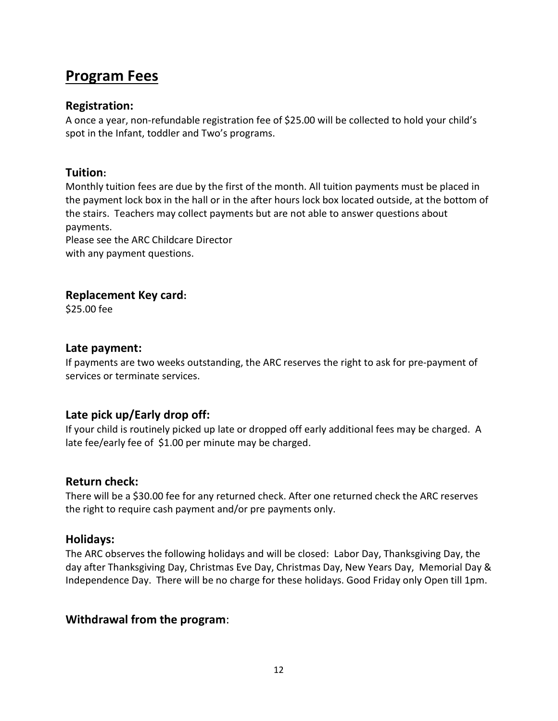# Program Fees

### Registration:

A once a year, non-refundable registration fee of \$25.00 will be collected to hold your child's spot in the Infant, toddler and Two's programs.

# Tuition:

Monthly tuition fees are due by the first of the month. All tuition payments must be placed in the payment lock box in the hall or in the after hours lock box located outside, at the bottom of the stairs. Teachers may collect payments but are not able to answer questions about payments.

Please see the ARC Childcare Director with any payment questions.

# Replacement Key card:

\$25.00 fee

### Late payment:

If payments are two weeks outstanding, the ARC reserves the right to ask for pre-payment of services or terminate services.

# Late pick up/Early drop off:

If your child is routinely picked up late or dropped off early additional fees may be charged. A late fee/early fee of \$1.00 per minute may be charged.

#### Return check:

There will be a \$30.00 fee for any returned check. After one returned check the ARC reserves the right to require cash payment and/or pre payments only.

# Holidays:

The ARC observes the following holidays and will be closed: Labor Day, Thanksgiving Day, the day after Thanksgiving Day, Christmas Eve Day, Christmas Day, New Years Day, Memorial Day & Independence Day. There will be no charge for these holidays. Good Friday only Open till 1pm.

# Withdrawal from the program: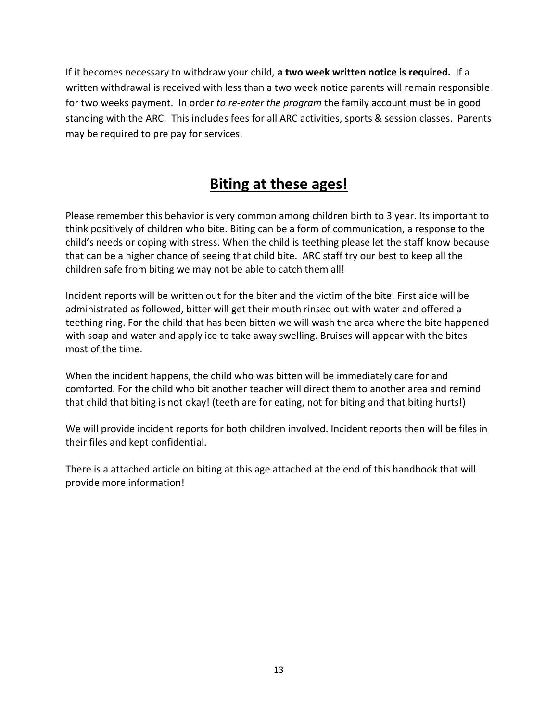If it becomes necessary to withdraw your child, a two week written notice is required. If a written withdrawal is received with less than a two week notice parents will remain responsible for two weeks payment. In order to re-enter the program the family account must be in good standing with the ARC. This includes fees for all ARC activities, sports & session classes. Parents may be required to pre pay for services.

# Biting at these ages!

Please remember this behavior is very common among children birth to 3 year. Its important to think positively of children who bite. Biting can be a form of communication, a response to the child's needs or coping with stress. When the child is teething please let the staff know because that can be a higher chance of seeing that child bite. ARC staff try our best to keep all the children safe from biting we may not be able to catch them all!

Incident reports will be written out for the biter and the victim of the bite. First aide will be administrated as followed, bitter will get their mouth rinsed out with water and offered a teething ring. For the child that has been bitten we will wash the area where the bite happened with soap and water and apply ice to take away swelling. Bruises will appear with the bites most of the time.

When the incident happens, the child who was bitten will be immediately care for and comforted. For the child who bit another teacher will direct them to another area and remind that child that biting is not okay! (teeth are for eating, not for biting and that biting hurts!)

We will provide incident reports for both children involved. Incident reports then will be files in their files and kept confidential.

There is a attached article on biting at this age attached at the end of this handbook that will provide more information!